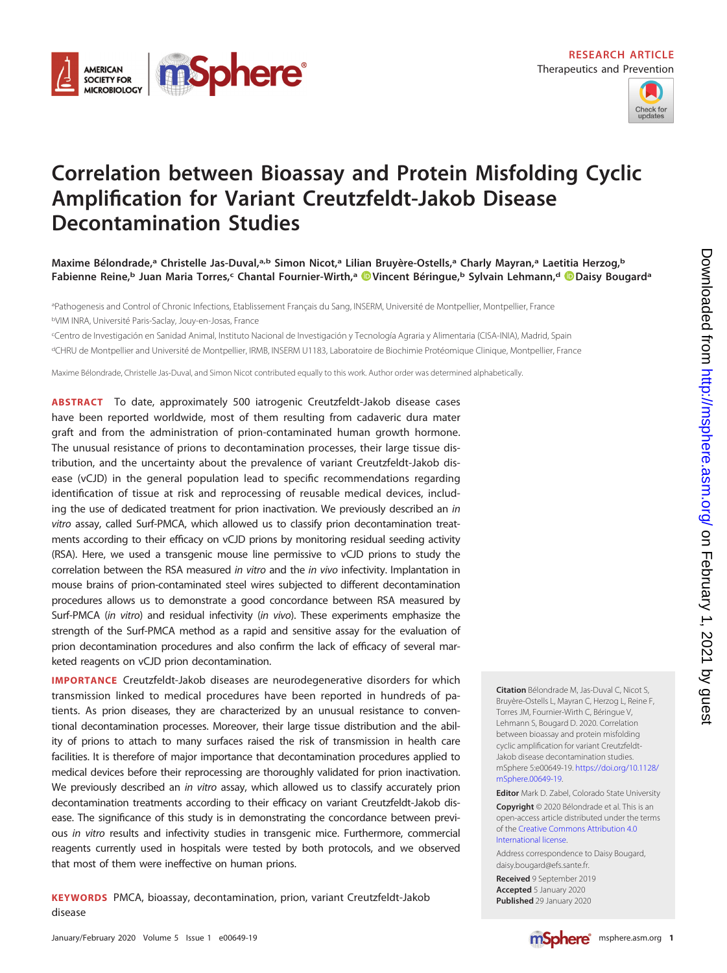



# **Correlation between Bioassay and Protein Misfolding Cyclic Amplification for Variant Creutzfeldt-Jakob Disease Decontamination Studies**

**Maxime Bélondrade,a Christelle Jas-Duval,a,b Simon Nicot,a Lilian Bruyère-Ostells,a Charly Mayran,a Laetitia Herzog,b Fabienne Reine,b Juan Maria Torres,c Chantal Fournier-Wirth,a [Vincent Béringue,b](https://orcid.org/0000-0001-6706-5712) Sylvain Lehmann,d [Daisy Bougarda](https://orcid.org/0000-0002-8779-9251)**

aPathogenesis and Control of Chronic Infections, Etablissement Français du Sang, INSERM, Université de Montpellier, Montpellier, France <sup>b</sup>VIM INRA, Université Paris-Saclay, Jouy-en-Josas, France

c Centro de Investigación en Sanidad Animal, Instituto Nacional de Investigación y Tecnología Agraria y Alimentaria (CISA-INIA), Madrid, Spain

dCHRU de Montpellier and Université de Montpellier, IRMB, INSERM U1183, Laboratoire de Biochimie Protéomique Clinique, Montpellier, France

Maxime Bélondrade, Christelle Jas-Duval, and Simon Nicot contributed equally to this work. Author order was determined alphabetically.

**ABSTRACT** To date, approximately 500 iatrogenic Creutzfeldt-Jakob disease cases have been reported worldwide, most of them resulting from cadaveric dura mater graft and from the administration of prion-contaminated human growth hormone. The unusual resistance of prions to decontamination processes, their large tissue distribution, and the uncertainty about the prevalence of variant Creutzfeldt-Jakob disease (vCJD) in the general population lead to specific recommendations regarding identification of tissue at risk and reprocessing of reusable medical devices, including the use of dedicated treatment for prion inactivation. We previously described an in vitro assay, called Surf-PMCA, which allowed us to classify prion decontamination treatments according to their efficacy on vCJD prions by monitoring residual seeding activity (RSA). Here, we used a transgenic mouse line permissive to vCJD prions to study the correlation between the RSA measured in vitro and the in vivo infectivity. Implantation in mouse brains of prion-contaminated steel wires subjected to different decontamination procedures allows us to demonstrate a good concordance between RSA measured by Surf-PMCA (in vitro) and residual infectivity (in vivo). These experiments emphasize the strength of the Surf-PMCA method as a rapid and sensitive assay for the evaluation of prion decontamination procedures and also confirm the lack of efficacy of several marketed reagents on vCJD prion decontamination.

**IMPORTANCE** Creutzfeldt-Jakob diseases are neurodegenerative disorders for which transmission linked to medical procedures have been reported in hundreds of patients. As prion diseases, they are characterized by an unusual resistance to conventional decontamination processes. Moreover, their large tissue distribution and the ability of prions to attach to many surfaces raised the risk of transmission in health care facilities. It is therefore of major importance that decontamination procedures applied to medical devices before their reprocessing are thoroughly validated for prion inactivation. We previously described an in vitro assay, which allowed us to classify accurately prion decontamination treatments according to their efficacy on variant Creutzfeldt-Jakob disease. The significance of this study is in demonstrating the concordance between previous in vitro results and infectivity studies in transgenic mice. Furthermore, commercial reagents currently used in hospitals were tested by both protocols, and we observed that most of them were ineffective on human prions.

**KEYWORDS** PMCA, bioassay, decontamination, prion, variant Creutzfeldt-Jakob disease

**Citation** Bélondrade M, Jas-Duval C, Nicot S, Bruyère-Ostells L, Mayran C, Herzog L, Reine F, Torres JM, Fournier-Wirth C, Béringue V, Lehmann S, Bougard D. 2020. Correlation between bioassay and protein misfolding cyclic amplification for variant Creutzfeldt-Jakob disease decontamination studies. mSphere 5:e00649-19. [https://doi.org/10.1128/](https://doi.org/10.1128/mSphere.00649-19) [mSphere.00649-19.](https://doi.org/10.1128/mSphere.00649-19)

**Editor** Mark D. Zabel, Colorado State University **Copyright** © 2020 Bélondrade et al. This is an open-access article distributed under the terms of the [Creative Commons Attribution 4.0](https://creativecommons.org/licenses/by/4.0/) [International](https://creativecommons.org/licenses/by/4.0/) license.

Address correspondence to Daisy Bougard, [daisy.bougard@efs.sante.fr.](mailto:daisy.bougard@efs.sante.fr)

**Received** 9 September 2019 **Accepted** 5 January 2020 **Published** 29 January 2020

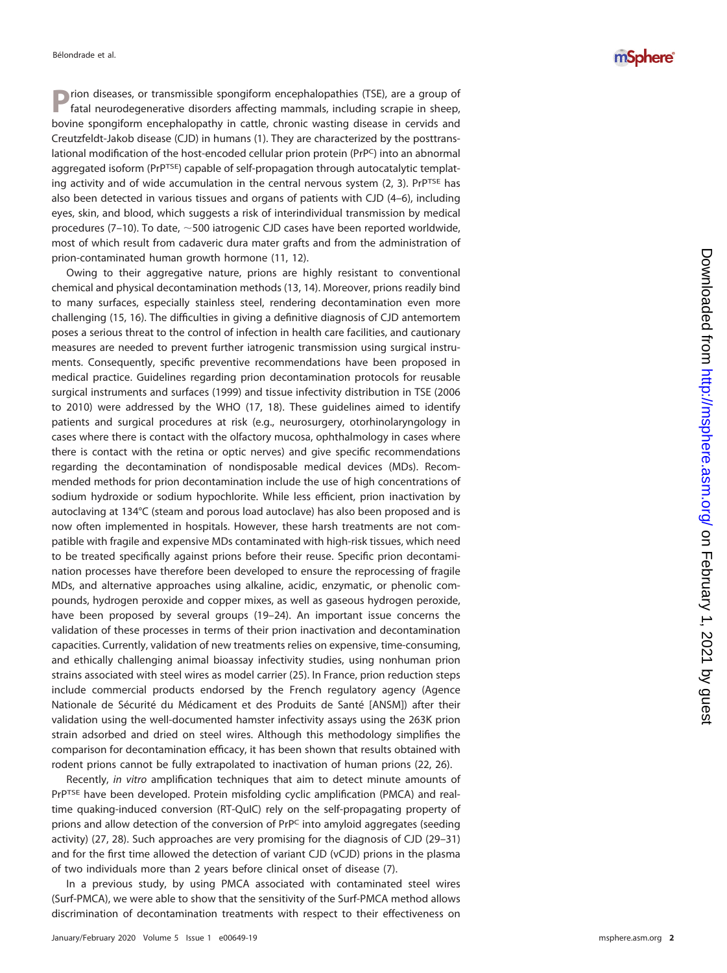**P**rion diseases, or transmissible spongiform encephalopathies (TSE), are a group of fatal neurodegenerative disorders affecting mammals, including scrapie in sheep, bovine spongiform encephalopathy in cattle, chronic wasting disease in cervids and Creutzfeldt-Jakob disease (CJD) in humans ( [1\)](#page-8-0). They are characterized by the posttranslational modification of the host-encoded cellular prion protein (PrPC) into an abnormal aggregated isoform (PrPTSE) capable of self-propagation through autocatalytic templating activity and of wide accumulation in the central nervous system  $(2, 3)$  $(2, 3)$  $(2, 3)$ . PrPTSE has also been detected in various tissues and organs of patients with CJD [\(4](#page-8-3)[–](#page-9-0)[6\)](#page-9-1), including eyes, skin, and blood, which suggests a risk of interindividual transmission by medical procedures [\(7](#page-9-2)[–](#page-9-3)[10\)](#page-9-4). To date, -500 iatrogenic CJD cases have been reported worldwide, most of which result from cadaveric dura mater grafts and from the administration of prion-contaminated human growth hormone [\(11](#page-9-5) , [12\)](#page-9-6).

Owing to their aggregative nature, prions are highly resistant to conventional chemical and physical decontamination methods [\(13](#page-9-7) , [14\)](#page-9-8). Moreover, prions readily bind to many surfaces, especially stainless steel, rendering decontamination even more challenging [\(15](#page-9-9) , [16\)](#page-9-10). The difficulties in giving a definitive diagnosis of CJD antemortem poses a serious threat to the control of infection in health care facilities, and cautionary measures are needed to prevent further iatrogenic transmission using surgical instruments. Consequently, specific preventive recommendations have been proposed in medical practice. Guidelines regarding prion decontamination protocols for reusable surgical instruments and surfaces (1999) and tissue infectivity distribution in TSE (2006 to 2010) were addressed by the WHO [\(17](#page-9-11) , [18\)](#page-9-12). These guidelines aimed to identify patients and surgical procedures at risk (e.g., neurosurgery, otorhinolaryngology in cases where there is contact with the olfactory mucosa, ophthalmology in cases where there is contact with the retina or optic nerves) and give specific recommendations regarding the decontamination of nondisposable medical devices (MDs). Recommended methods for prion decontamination include the use of high concentrations of sodium hydroxide or sodium hypochlorite. While less efficient, prion inactivation by autoclaving at 134°C (steam and porous load autoclave) has also been proposed and is now often implemented in hospitals. However, these harsh treatments are not compatible with fragile and expensive MDs contaminated with high-risk tissues, which need to be treated specifically against prions before their reuse. Specific prion decontamination processes have therefore been developed to ensure the reprocessing of fragile MDs, and alternative approaches using alkaline, acidic, enzymatic, or phenolic compounds, hydrogen peroxide and copper mixes, as well as gaseous hydrogen peroxide, have been proposed by several groups [\(19](#page-9-13)[–](#page-9-14)[24\)](#page-9-15). An important issue concerns the validation of these processes in terms of their prion inactivation and decontamination capacities. Currently, validation of new treatments relies on expensive, time-consuming, and ethically challenging animal bioassay infectivity studies, using nonhuman prion strains associated with steel wires as model carrier [\(25\)](#page-9-16). In France, prion reduction steps include commercial products endorsed by the French regulatory agency (Agence Nationale de Sécurité du Médicament et des Produits de Santé [ANSM]) after their validation using the well-documented hamster infectivity assays using the 263K prion strain adsorbed and dried on steel wires. Although this methodology simplifies the comparison for decontamination efficacy, it has been shown that results obtained with rodent prions cannot be fully extrapolated to inactivation of human prions [\(22](#page-9-17) , [26\)](#page-9-18).

Recently, in vitro amplification techniques that aim to detect minute amounts of PrP<sup>TSE</sup> have been developed. Protein misfolding cyclic amplification (PMCA) and realtime quaking-induced conversion (RT-QuIC) rely on the self-propagating property of prions and allow detection of the conversion of PrP<sup>C</sup> into amyloid aggregates (seeding activity) [\(27](#page-9-19) , [28\)](#page-9-20). Such approaches are very promising for the diagnosis of CJD [\(29](#page-9-21)[–](#page-9-22)[31](#page-9-23) ) and for the first time allowed the detection of variant CJD (vCJD) prions in the plasma of two individuals more than 2 years before clinical onset of disease ( [7\)](#page-9-2).

In a previous study, by using PMCA associated with contaminated steel wires (Surf-PMCA), we were able to show that the sensitivity of the Surf-PMCA method allows discrimination of decontamination treatments with respect to their effectiveness on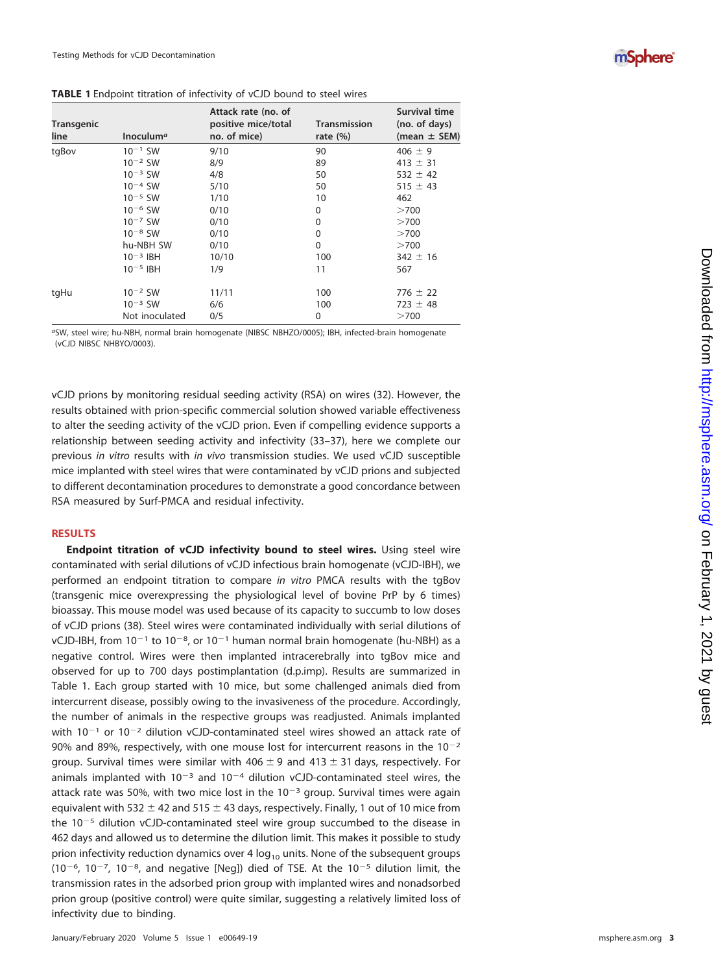| <b>Transgenic</b><br>line | Inoculum <sup>a</sup> | Attack rate (no. of<br>positive mice/total<br>no. of mice) | <b>Transmission</b><br>rate $(\% )$ | Survival time<br>(no. of days)<br>(mean ± SEM) |
|---------------------------|-----------------------|------------------------------------------------------------|-------------------------------------|------------------------------------------------|
| tgBov                     | $10^{-1}$ SW          | 9/10                                                       | 90                                  | $406 \pm 9$                                    |
|                           | $10^{-2}$ SW          | 8/9                                                        | 89                                  | $413 \pm 31$                                   |
|                           | $10^{-3}$ SW          | 4/8                                                        | 50                                  | 532 $\pm$ 42                                   |
|                           | $10^{-4}$ SW          | 5/10                                                       | 50                                  | $515 \pm 43$                                   |
|                           | $10^{-5}$ SW          | 1/10                                                       | 10                                  | 462                                            |
|                           | $10^{-6}$ SW          | 0/10                                                       | 0                                   | >700                                           |
|                           | $10^{-7}$ SW          | 0/10                                                       | $\Omega$                            | >700                                           |
|                           | $10^{-8}$ SW          | 0/10                                                       | $\Omega$                            | >700                                           |
|                           | hu-NBH SW             | 0/10                                                       | $\Omega$                            | >700                                           |
|                           | $10^{-3}$ IBH         | 10/10                                                      | 100                                 | $342 \pm 16$                                   |
|                           | $10^{-5}$ IBH         | 1/9                                                        | 11                                  | 567                                            |
| tgHu                      | $10^{-2}$ SW          | 11/11                                                      | 100                                 | $776 \pm 22$                                   |
|                           | $10^{-3}$ SW          | 6/6                                                        | 100                                 | $723 \pm 48$                                   |
|                           | Not inoculated        | 0/5                                                        | 0                                   | >700                                           |

<span id="page-2-0"></span>**TABLE 1** Endpoint titration of infectivity of vCJD bound to steel wires

aSW, steel wire; hu-NBH, normal brain homogenate (NIBSC NBHZO/0005); IBH, infected-brain homogenate (vCJD NIBSC NHBYO/0003).

vCJD prions by monitoring residual seeding activity (RSA) on wires [\(32\)](#page-9-24). However, the results obtained with prion-specific commercial solution showed variable effectiveness to alter the seeding activity of the vCJD prion. Even if compelling evidence supports a relationship between seeding activity and infectivity [\(33](#page-9-25)[–](#page-9-26)[37\)](#page-9-27), here we complete our previous in vitro results with in vivo transmission studies. We used vCJD susceptible mice implanted with steel wires that were contaminated by vCJD prions and subjected to different decontamination procedures to demonstrate a good concordance between RSA measured by Surf-PMCA and residual infectivity.

#### **RESULTS**

**Endpoint titration of vCJD infectivity bound to steel wires.** Using steel wire contaminated with serial dilutions of vCJD infectious brain homogenate (vCJD-IBH), we performed an endpoint titration to compare in vitro PMCA results with the tgBov (transgenic mice overexpressing the physiological level of bovine PrP by 6 times) bioassay. This mouse model was used because of its capacity to succumb to low doses of vCJD prions [\(38\)](#page-9-28). Steel wires were contaminated individually with serial dilutions of vCJD-IBH, from  $10^{-1}$  to  $10^{-8}$ , or  $10^{-1}$  human normal brain homogenate (hu-NBH) as a negative control. Wires were then implanted intracerebrally into tgBov mice and observed for up to 700 days postimplantation (d.p.imp). Results are summarized in [Table 1.](#page-2-0) Each group started with 10 mice, but some challenged animals died from intercurrent disease, possibly owing to the invasiveness of the procedure. Accordingly, the number of animals in the respective groups was readjusted. Animals implanted with  $10^{-1}$  or  $10^{-2}$  dilution vCJD-contaminated steel wires showed an attack rate of 90% and 89%, respectively, with one mouse lost for intercurrent reasons in the  $10^{-2}$ group. Survival times were similar with 406  $\pm$  9 and 413  $\pm$  31 days, respectively. For animals implanted with  $10^{-3}$  and  $10^{-4}$  dilution vCJD-contaminated steel wires, the attack rate was 50%, with two mice lost in the  $10^{-3}$  group. Survival times were again equivalent with 532  $\pm$  42 and 515  $\pm$  43 days, respectively. Finally, 1 out of 10 mice from the 10<sup>-5</sup> dilution vCJD-contaminated steel wire group succumbed to the disease in 462 days and allowed us to determine the dilution limit. This makes it possible to study prion infectivity reduction dynamics over 4  $log_{10}$  units. None of the subsequent groups  $(10^{-6}, 10^{-7}, 10^{-8},$  and negative [Neg]) died of TSE. At the  $10^{-5}$  dilution limit, the transmission rates in the adsorbed prion group with implanted wires and nonadsorbed prion group (positive control) were quite similar, suggesting a relatively limited loss of infectivity due to binding.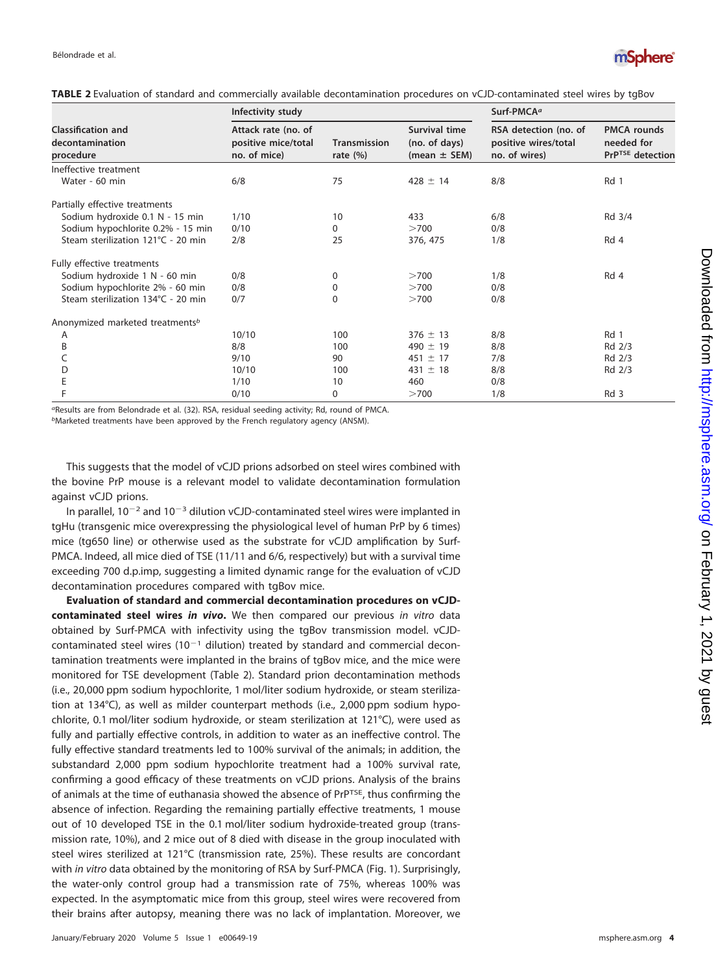

|                                                           | Infectivity study                                          |                                    |                                                    | Surf-PMCA <sup>a</sup>                                         |                                                      |
|-----------------------------------------------------------|------------------------------------------------------------|------------------------------------|----------------------------------------------------|----------------------------------------------------------------|------------------------------------------------------|
| <b>Classification and</b><br>decontamination<br>procedure | Attack rate (no. of<br>positive mice/total<br>no. of mice) | <b>Transmission</b><br>rate $(\%)$ | Survival time<br>(no. of days)<br>$(mean \pm SEM)$ | RSA detection (no. of<br>positive wires/total<br>no. of wires) | <b>PMCA</b> rounds<br>needed for<br>PrPTSE detection |
| Ineffective treatment                                     |                                                            |                                    |                                                    |                                                                |                                                      |
| Water - 60 min                                            | 6/8                                                        | 75                                 | $428 \pm 14$                                       | 8/8                                                            | Rd 1                                                 |
| Partially effective treatments                            |                                                            |                                    |                                                    |                                                                |                                                      |
| Sodium hydroxide 0.1 N - 15 min                           | 1/10                                                       | 10                                 | 433                                                | 6/8                                                            | Rd 3/4                                               |
| Sodium hypochlorite 0.2% - 15 min                         | 0/10                                                       | $\Omega$                           | >700                                               | 0/8                                                            |                                                      |
| Steam sterilization 121°C - 20 min                        | 2/8                                                        | 25                                 | 376, 475                                           | 1/8                                                            | Rd 4                                                 |
| Fully effective treatments                                |                                                            |                                    |                                                    |                                                                |                                                      |
| Sodium hydroxide 1 N - 60 min                             | 0/8                                                        | 0                                  | >700                                               | 1/8                                                            | Rd 4                                                 |
| Sodium hypochlorite 2% - 60 min                           | 0/8                                                        | 0                                  | >700                                               | 0/8                                                            |                                                      |
| Steam sterilization 134°C - 20 min                        | 0/7                                                        | 0                                  | >700                                               | 0/8                                                            |                                                      |
| Anonymized marketed treatments <sup>b</sup>               |                                                            |                                    |                                                    |                                                                |                                                      |
| Α                                                         | 10/10                                                      | 100                                | $376 \pm 13$                                       | 8/8                                                            | Rd 1                                                 |
| B                                                         | 8/8                                                        | 100                                | 490 $\pm$ 19                                       | 8/8                                                            | Rd 2/3                                               |
|                                                           | 9/10                                                       | 90                                 | $451 \pm 17$                                       | 7/8                                                            | Rd 2/3                                               |
| D                                                         | 10/10                                                      | 100                                | 431 $\pm$ 18                                       | 8/8                                                            | Rd 2/3                                               |
| Ε                                                         | 1/10                                                       | 10                                 | 460                                                | 0/8                                                            |                                                      |
|                                                           | 0/10                                                       | 0                                  | >700                                               | 1/8                                                            | Rd 3                                                 |

<span id="page-3-0"></span>

aResults are from Belondrade et al. [\(32\)](#page-9-24). RSA, residual seeding activity; Rd, round of PMCA. bMarketed treatments have been approved by the French regulatory agency (ANSM).

This suggests that the model of vCJD prions adsorbed on steel wires combined with the bovine PrP mouse is a relevant model to validate decontamination formulation against vCJD prions.

In parallel,  $10^{-2}$  and  $10^{-3}$  dilution vCJD-contaminated steel wires were implanted in tgHu (transgenic mice overexpressing the physiological level of human PrP by 6 times) mice (tg650 line) or otherwise used as the substrate for vCJD amplification by Surf-PMCA. Indeed, all mice died of TSE (11/11 and 6/6, respectively) but with a survival time exceeding 700 d.p.imp, suggesting a limited dynamic range for the evaluation of vCJD decontamination procedures compared with tgBov mice.

**Evaluation of standard and commercial decontamination procedures on vCJDcontaminated steel wires** *in vivo***.** We then compared our previous in vitro data obtained by Surf-PMCA with infectivity using the tgBov transmission model. vCJDcontaminated steel wires ( $10^{-1}$  dilution) treated by standard and commercial decontamination treatments were implanted in the brains of tgBov mice, and the mice were monitored for TSE development [\(Table 2\)](#page-3-0). Standard prion decontamination methods (i.e., 20,000 ppm sodium hypochlorite, 1 mol/liter sodium hydroxide, or steam sterilization at 134°C), as well as milder counterpart methods (i.e., 2,000 ppm sodium hypochlorite, 0.1 mol/liter sodium hydroxide, or steam sterilization at 121°C), were used as fully and partially effective controls, in addition to water as an ineffective control. The fully effective standard treatments led to 100% survival of the animals; in addition, the substandard 2,000 ppm sodium hypochlorite treatment had a 100% survival rate, confirming a good efficacy of these treatments on vCJD prions. Analysis of the brains of animals at the time of euthanasia showed the absence of PrPTSE, thus confirming the absence of infection. Regarding the remaining partially effective treatments, 1 mouse out of 10 developed TSE in the 0.1 mol/liter sodium hydroxide-treated group (transmission rate, 10%), and 2 mice out of 8 died with disease in the group inoculated with steel wires sterilized at 121°C (transmission rate, 25%). These results are concordant with in vitro data obtained by the monitoring of RSA by Surf-PMCA [\(Fig. 1\)](#page-4-0). Surprisingly, the water-only control group had a transmission rate of 75%, whereas 100% was expected. In the asymptomatic mice from this group, steel wires were recovered from their brains after autopsy, meaning there was no lack of implantation. Moreover, we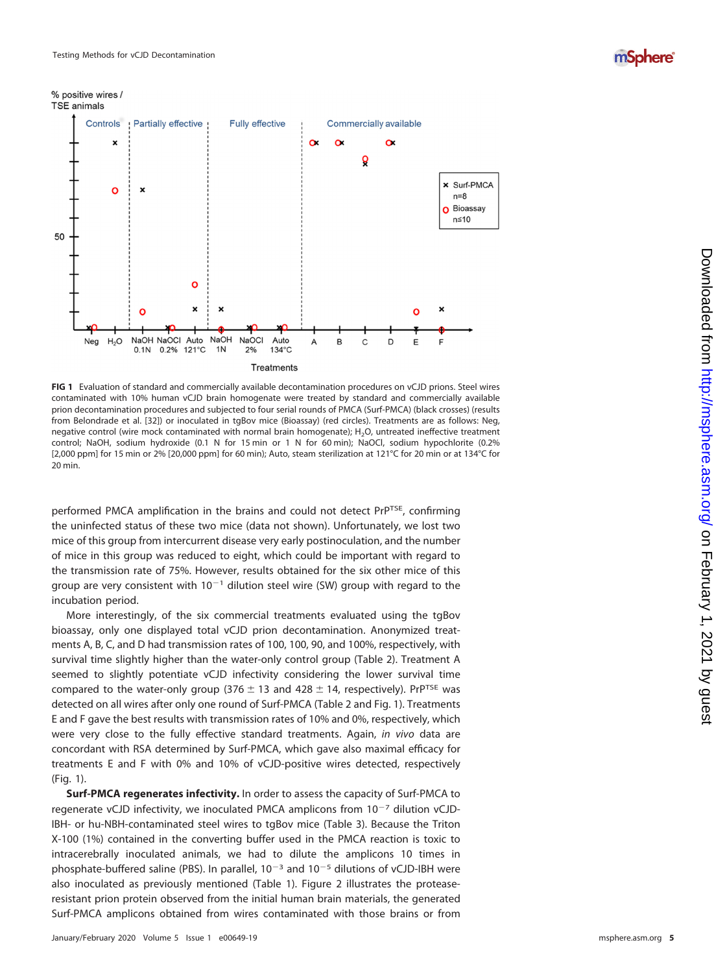



<span id="page-4-0"></span>**FIG 1** Evaluation of standard and commercially available decontamination procedures on vCJD prions. Steel wires contaminated with 10% human vCJD brain homogenate were treated by standard and commercially available prion decontamination procedures and subjected to four serial rounds of PMCA (Surf-PMCA) (black crosses) (results from Belondrade et al. [\[32\]](#page-9-24)) or inoculated in tgBov mice (Bioassay) (red circles). Treatments are as follows: Neg, negative control (wire mock contaminated with normal brain homogenate); H<sub>2</sub>O, untreated ineffective treatment control; NaOH, sodium hydroxide (0.1 N for 15 min or 1 N for 60 min); NaOCl, sodium hypochlorite (0.2% [2,000 ppm] for 15 min or 2% [20,000 ppm] for 60 min); Auto, steam sterilization at 121°C for 20 min or at 134°C for 20 min.

performed PMCA amplification in the brains and could not detect PrPTSE, confirming the uninfected status of these two mice (data not shown). Unfortunately, we lost two mice of this group from intercurrent disease very early postinoculation, and the number of mice in this group was reduced to eight, which could be important with regard to the transmission rate of 75%. However, results obtained for the six other mice of this group are very consistent with  $10^{-1}$  dilution steel wire (SW) group with regard to the incubation period.

More interestingly, of the six commercial treatments evaluated using the tgBov bioassay, only one displayed total vCJD prion decontamination. Anonymized treatments A, B, C, and D had transmission rates of 100, 100, 90, and 100%, respectively, with survival time slightly higher than the water-only control group [\(Table 2\)](#page-3-0). Treatment A seemed to slightly potentiate vCJD infectivity considering the lower survival time compared to the water-only group (376  $\pm$  13 and 428  $\pm$  14, respectively). PrP<sup>TSE</sup> was detected on all wires after only one round of Surf-PMCA [\(Table 2](#page-3-0) and [Fig. 1\)](#page-4-0). Treatments E and F gave the best results with transmission rates of 10% and 0%, respectively, which were very close to the fully effective standard treatments. Again, in vivo data are concordant with RSA determined by Surf-PMCA, which gave also maximal efficacy for treatments E and F with 0% and 10% of vCJD-positive wires detected, respectively [\(Fig. 1\)](#page-4-0).

**Surf-PMCA regenerates infectivity.** In order to assess the capacity of Surf-PMCA to regenerate vCJD infectivity, we inoculated PMCA amplicons from  $10^{-7}$  dilution vCJD-IBH- or hu-NBH-contaminated steel wires to tgBov mice [\(Table 3\)](#page-5-0). Because the Triton X-100 (1%) contained in the converting buffer used in the PMCA reaction is toxic to intracerebrally inoculated animals, we had to dilute the amplicons 10 times in phosphate-buffered saline (PBS). In parallel,  $10^{-3}$  and  $10^{-5}$  dilutions of vCJD-IBH were also inoculated as previously mentioned [\(Table 1\)](#page-2-0). [Figure 2](#page-5-1) illustrates the proteaseresistant prion protein observed from the initial human brain materials, the generated Surf-PMCA amplicons obtained from wires contaminated with those brains or from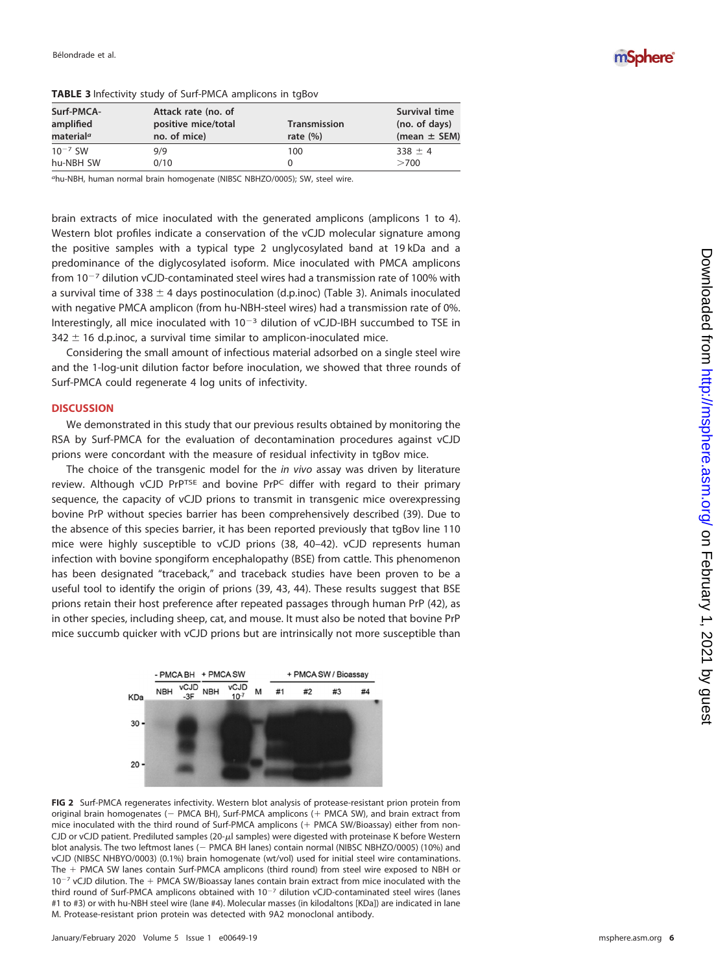<span id="page-5-0"></span>

|  |  |  | <b>TABLE 3</b> Infectivity study of Surf-PMCA amplicons in tgBov |  |  |
|--|--|--|------------------------------------------------------------------|--|--|
|--|--|--|------------------------------------------------------------------|--|--|

| Surf-PMCA-<br>amplified | Attack rate (no. of<br>positive mice/total | <b>Transmission</b> | Survival time<br>(no. of days) |
|-------------------------|--------------------------------------------|---------------------|--------------------------------|
| material <sup>a</sup>   | no. of mice)                               | rate $(\% )$        | (mean $\pm$ SEM)               |
| $10^{-7}$ SW            | 9/9                                        | 100                 | $338 \pm 4$                    |
| hu-NBH SW               | 0/10                                       |                     | >700                           |

ahu-NBH, human normal brain homogenate (NIBSC NBHZO/0005); SW, steel wire.

brain extracts of mice inoculated with the generated amplicons (amplicons 1 to 4). Western blot profiles indicate a conservation of the vCJD molecular signature among the positive samples with a typical type 2 unglycosylated band at 19 kDa and a predominance of the diglycosylated isoform. Mice inoculated with PMCA amplicons from 10<sup>-7</sup> dilution vCJD-contaminated steel wires had a transmission rate of 100% with a survival time of 338  $\pm$  4 days postinoculation (d.p.inoc) [\(Table 3\)](#page-5-0). Animals inoculated with negative PMCA amplicon (from hu-NBH-steel wires) had a transmission rate of 0%. Interestingly, all mice inoculated with 10<sup>-3</sup> dilution of vCJD-IBH succumbed to TSE in  $342 \pm 16$  d.p.inoc, a survival time similar to amplicon-inoculated mice.

Considering the small amount of infectious material adsorbed on a single steel wire and the 1-log-unit dilution factor before inoculation, we showed that three rounds of Surf-PMCA could regenerate 4 log units of infectivity.

#### **DISCUSSION**

We demonstrated in this study that our previous results obtained by monitoring the RSA by Surf-PMCA for the evaluation of decontamination procedures against vCJD prions were concordant with the measure of residual infectivity in tgBov mice.

The choice of the transgenic model for the *in vivo* assay was driven by literature review. Although vCJD PrPTSE and bovine PrPC differ with regard to their primary sequence, the capacity of vCJD prions to transmit in transgenic mice overexpressing bovine PrP without species barrier has been comprehensively described [\(39\)](#page-9-29). Due to the absence of this species barrier, it has been reported previously that tgBov line 110 mice were highly susceptible to vCJD prions [\(38](#page-9-28) , [40](#page-9-30)[–](#page-10-0)[42\)](#page-10-1). vCJD represents human infection with bovine spongiform encephalopathy (BSE) from cattle. This phenomenon has been designated "traceback," and traceback studies have been proven to be a useful tool to identify the origin of prions [\(39](#page-9-29), [43](#page-10-2), [44\)](#page-10-3). These results suggest that BSE prions retain their host preference after repeated passages through human PrP [\(42\)](#page-10-1), as in other species, including sheep, cat, and mouse. It must also be noted that bovine PrP mice succumb quicker with vCJD prions but are intrinsically not more susceptible than



<span id="page-5-1"></span>**FIG 2** Surf-PMCA regenerates infectivity. Western blot analysis of protease-resistant prion protein from original brain homogenates ( PMCA BH), Surf-PMCA amplicons ( PMCA SW), and brain extract from mice inoculated with the third round of Surf-PMCA amplicons ( PMCA SW/Bioassay) either from non-CJD or vCJD patient. Prediluted samples (20- $\mu$ l samples) were digested with proteinase K before Western blot analysis. The two leftmost lanes ( PMCA BH lanes) contain normal (NIBSC NBHZO/0005) (10%) and vCJD (NIBSC NHBYO/0003) (0.1%) brain homogenate (wt/vol) used for initial steel wire contaminations. The PMCA SW lanes contain Surf-PMCA amplicons (third round) from steel wire exposed to NBH or 10<sup>-7</sup> vCJD dilution. The + PMCA SW/Bioassay lanes contain brain extract from mice inoculated with the third round of Surf-PMCA amplicons obtained with 10<sup>-7</sup> dilution vCJD-contaminated steel wires (lanes #1 to #3) or with hu-NBH steel wire (lane #4). Molecular masses (in kilodaltons [KDa]) are indicated in lane M. Protease-resistant prion protein was detected with 9A2 monoclonal antibody.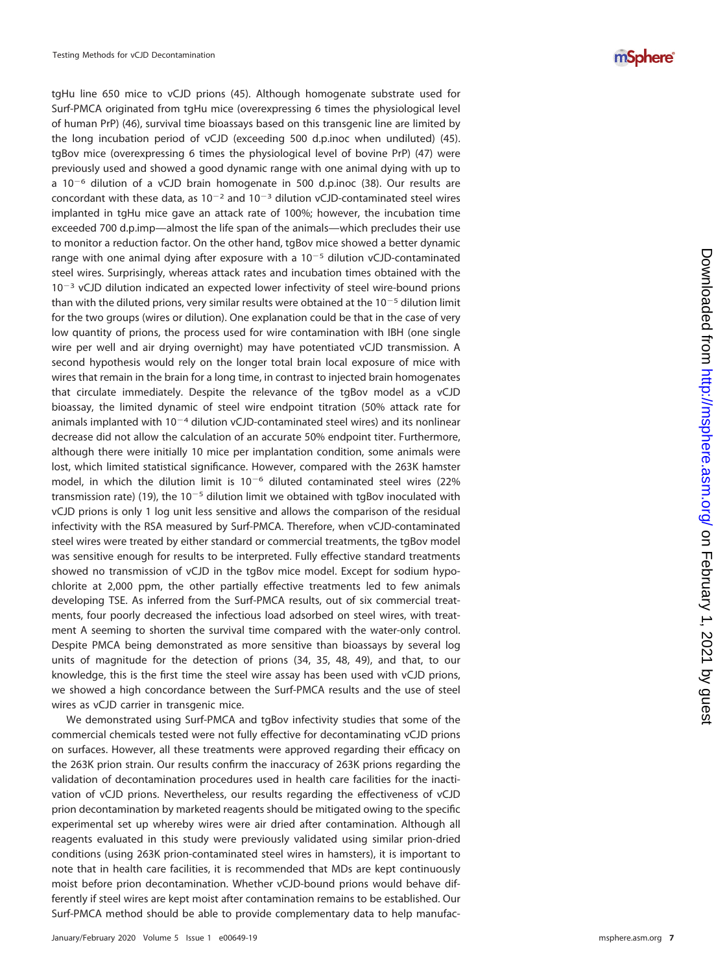tgHu line 650 mice to vCJD prions [\(45\)](#page-10-4). Although homogenate substrate used for Surf-PMCA originated from tgHu mice (overexpressing 6 times the physiological level of human PrP) [\(46\)](#page-10-5), survival time bioassays based on this transgenic line are limited by the long incubation period of vCJD (exceeding 500 d.p.inoc when undiluted) [\(45\)](#page-10-4). tgBov mice (overexpressing 6 times the physiological level of bovine PrP) [\(47\)](#page-10-6) were previously used and showed a good dynamic range with one animal dying with up to a 10<sup>-6</sup> dilution of a vCJD brain homogenate in 500 d.p.inoc [\(38\)](#page-9-28). Our results are concordant with these data, as  $10^{-2}$  and  $10^{-3}$  dilution vCJD-contaminated steel wires implanted in tgHu mice gave an attack rate of 100%; however, the incubation time exceeded 700 d.p.imp—almost the life span of the animals—which precludes their use to monitor a reduction factor. On the other hand, tgBov mice showed a better dynamic range with one animal dying after exposure with a  $10^{-5}$  dilution vCJD-contaminated steel wires. Surprisingly, whereas attack rates and incubation times obtained with the 10<sup>-3</sup> vCJD dilution indicated an expected lower infectivity of steel wire-bound prions than with the diluted prions, very similar results were obtained at the 10<sup>-5</sup> dilution limit for the two groups (wires or dilution). One explanation could be that in the case of very low quantity of prions, the process used for wire contamination with IBH (one single wire per well and air drying overnight) may have potentiated vCJD transmission. A second hypothesis would rely on the longer total brain local exposure of mice with wires that remain in the brain for a long time, in contrast to injected brain homogenates that circulate immediately. Despite the relevance of the tgBov model as a vCJD bioassay, the limited dynamic of steel wire endpoint titration (50% attack rate for animals implanted with  $10^{-4}$  dilution vCJD-contaminated steel wires) and its nonlinear decrease did not allow the calculation of an accurate 50% endpoint titer. Furthermore, although there were initially 10 mice per implantation condition, some animals were lost, which limited statistical significance. However, compared with the 263K hamster model, in which the dilution limit is  $10^{-6}$  diluted contaminated steel wires (22% transmission rate) [\(19\)](#page-9-13), the  $10^{-5}$  dilution limit we obtained with tgBov inoculated with vCJD prions is only 1 log unit less sensitive and allows the comparison of the residual infectivity with the RSA measured by Surf-PMCA. Therefore, when vCJD-contaminated steel wires were treated by either standard or commercial treatments, the tgBov model was sensitive enough for results to be interpreted. Fully effective standard treatments showed no transmission of vCJD in the tgBov mice model. Except for sodium hypochlorite at 2,000 ppm, the other partially effective treatments led to few animals developing TSE. As inferred from the Surf-PMCA results, out of six commercial treatments, four poorly decreased the infectious load adsorbed on steel wires, with treatment A seeming to shorten the survival time compared with the water-only control. Despite PMCA being demonstrated as more sensitive than bioassays by several log units of magnitude for the detection of prions [\(34](#page-9-31) , [35](#page-9-32) , [48](#page-10-7) , [49\)](#page-10-8), and that, to our knowledge, this is the first time the steel wire assay has been used with vCJD prions, we showed a high concordance between the Surf-PMCA results and the use of steel wires as vCJD carrier in transgenic mice.

We demonstrated using Surf-PMCA and tgBov infectivity studies that some of the commercial chemicals tested were not fully effective for decontaminating vCJD prions on surfaces. However, all these treatments were approved regarding their efficacy on the 263K prion strain. Our results confirm the inaccuracy of 263K prions regarding the validation of decontamination procedures used in health care facilities for the inactivation of vCJD prions. Nevertheless, our results regarding the effectiveness of vCJD prion decontamination by marketed reagents should be mitigated owing to the specific experimental set up whereby wires were air dried after contamination. Although all reagents evaluated in this study were previously validated using similar prion-dried conditions (using 263K prion-contaminated steel wires in hamsters), it is important to note that in health care facilities, it is recommended that MDs are kept continuously moist before prion decontamination. Whether vCJD-bound prions would behave differently if steel wires are kept moist after contamination remains to be established. Our Surf-PMCA method should be able to provide complementary data to help manufac-

## **mSphere**®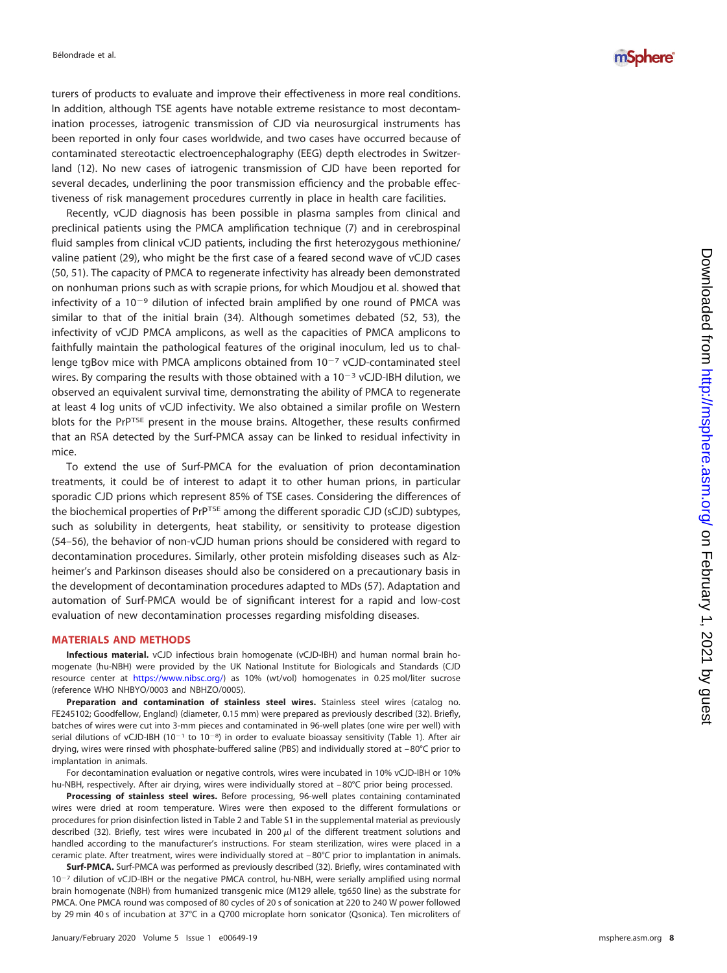turers of products to evaluate and improve their effectiveness in more real conditions. In addition, although TSE agents have notable extreme resistance to most decontamination processes, iatrogenic transmission of CJD via neurosurgical instruments has been reported in only four cases worldwide, and two cases have occurred because of contaminated stereotactic electroencephalography (EEG) depth electrodes in Switzerland [\(12\)](#page-9-6). No new cases of iatrogenic transmission of CJD have been reported for several decades, underlining the poor transmission efficiency and the probable effectiveness of risk management procedures currently in place in health care facilities.

Recently, vCJD diagnosis has been possible in plasma samples from clinical and preclinical patients using the PMCA amplification technique ( [7\)](#page-9-2) and in cerebrospinal fluid samples from clinical vCJD patients, including the first heterozygous methionine/ valine patient [\(29\)](#page-9-21), who might be the first case of a feared second wave of vCJD cases [\(50,](#page-10-9) [51\)](#page-10-10). The capacity of PMCA to regenerate infectivity has already been demonstrated on nonhuman prions such as with scrapie prions, for which Moudjou et al. showed that infectivity of a  $10^{-9}$  dilution of infected brain amplified by one round of PMCA was similar to that of the initial brain [\(34\)](#page-9-31). Although sometimes debated [\(52](#page-10-11) , [53\)](#page-10-12), the infectivity of vCJD PMCA amplicons, as well as the capacities of PMCA amplicons to faithfully maintain the pathological features of the original inoculum, led us to challenge tgBov mice with PMCA amplicons obtained from  $10^{-7}$  vCJD-contaminated steel wires. By comparing the results with those obtained with a 10<sup>-3</sup> vCJD-IBH dilution, we observed an equivalent survival time, demonstrating the ability of PMCA to regenerate at least 4 log units of vCJD infectivity. We also obtained a similar profile on Western blots for the PrPTSE present in the mouse brains. Altogether, these results confirmed that an RSA detected by the Surf-PMCA assay can be linked to residual infectivity in mice.

To extend the use of Surf-PMCA for the evaluation of prion decontamination treatments, it could be of interest to adapt it to other human prions, in particular sporadic CJD prions which represent 85% of TSE cases. Considering the differences of the biochemical properties of PrPTSE among the different sporadic CJD (sCJD) subtypes, such as solubility in detergents, heat stability, or sensitivity to protease digestion [\(54](#page-10-13)[–](#page-10-14)[56\)](#page-10-15), the behavior of non-vCJD human prions should be considered with regard to decontamination procedures. Similarly, other protein misfolding diseases such as Alzheimer's and Parkinson diseases should also be considered on a precautionary basis in the development of decontamination procedures adapted to MDs [\(57\)](#page-10-16). Adaptation and automation of Surf-PMCA would be of significant interest for a rapid and low-cost evaluation of new decontamination processes regarding misfolding diseases.

#### **MATERIALS AND METHODS**

**Infectious material.** vCJD infectious brain homogenate (vCJD-IBH) and human normal brain homogenate (hu-NBH) were provided by the UK National Institute for Biologicals and Standards (CJD resource center at [https://www.nibsc.org/\)](https://www.nibsc.org/) as 10% (wt/vol) homogenates in 0.25 mol/liter sucrose (reference WHO NHBYO/0003 and NBHZO/0005).

**Preparation and contamination of stainless steel wires.** Stainless steel wires (catalog no. FE245102; Goodfellow, England) (diameter, 0.15 mm) were prepared as previously described [\(32\)](#page-9-24). Briefly, batches of wires were cut into 3-mm pieces and contaminated in 96-well plates (one wire per well) with serial dilutions of vCJD-IBH (10<sup>-1</sup> to 10<sup>-8</sup>) in order to evaluate bioassay sensitivity [\(Table 1\)](#page-2-0). After air drying, wires were rinsed with phosphate-buffered saline (PBS) and individually stored at – 80°C prior to implantation in animals.

For decontamination evaluation or negative controls, wires were incubated in 10% vCJD-IBH or 10% hu-NBH, respectively. After air drying, wires were individually stored at – 80°C prior being processed.

**Processing of stainless steel wires.** Before processing, 96-well plates containing contaminated wires were dried at room temperature. Wires were then exposed to the different formulations or procedures for prion disinfection listed in [Table 2](#page-3-0) and Table S1 in the supplemental material as previously described [\(32\)](#page-9-24). Briefly, test wires were incubated in 200  $\mu$ l of the different treatment solutions and handled according to the manufacturer's instructions. For steam sterilization, wires were placed in a ceramic plate. After treatment, wires were individually stored at – 80°C prior to implantation in animals.

**Surf-PMCA.** Surf-PMCA was performed as previously described [\(32\)](#page-9-24). Briefly, wires contaminated with 10<sup>-7</sup> dilution of vCJD-IBH or the negative PMCA control, hu-NBH, were serially amplified using normal brain homogenate (NBH) from humanized transgenic mice (M129 allele, tg650 line) as the substrate for PMCA. One PMCA round was composed of 80 cycles of 20 s of sonication at 220 to 240 W power followed by 29 min 40 s of incubation at 37°C in a Q700 microplate horn sonicator (Qsonica). Ten microliters of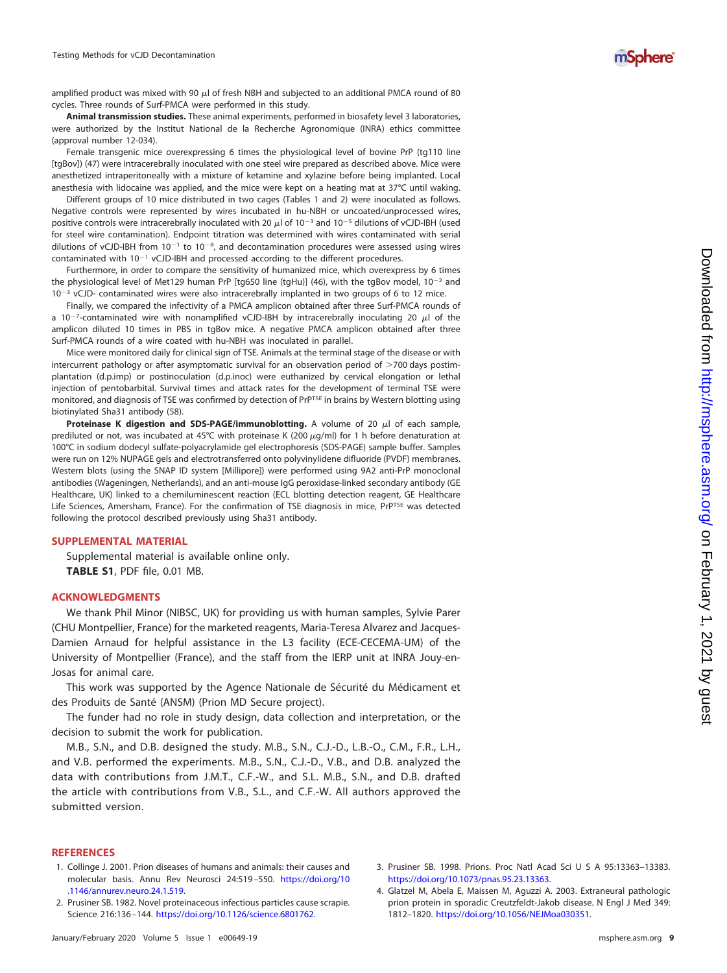amplified product was mixed with 90  $\mu$ l of fresh NBH and subjected to an additional PMCA round of 80 cycles. Three rounds of Surf-PMCA were performed in this study.

**Animal transmission studies.** These animal experiments, performed in biosafety level 3 laboratories, were authorized by the Institut National de la Recherche Agronomique (INRA) ethics committee (approval number 12-034).

Female transgenic mice overexpressing 6 times the physiological level of bovine PrP (tg110 line [tgBov]) [\(47\)](#page-10-6) were intracerebrally inoculated with one steel wire prepared as described above. Mice were anesthetized intraperitoneally with a mixture of ketamine and xylazine before being implanted. Local anesthesia with lidocaine was applied, and the mice were kept on a heating mat at 37°C until waking.

Different groups of 10 mice distributed in two cages [\(Tables 1](#page-2-0) and [2\)](#page-3-0) were inoculated as follows. Negative controls were represented by wires incubated in hu-NBH or uncoated/unprocessed wires, positive controls were intracerebrally inoculated with 20  $\mu$ l of 10<sup>-3</sup> and 10<sup>-5</sup> dilutions of vCJD-IBH (used for steel wire contamination). Endpoint titration was determined with wires contaminated with serial dilutions of vCJD-IBH from  $10^{-1}$  to  $10^{-8}$ , and decontamination procedures were assessed using wires contaminated with  $10^{-1}$  vCJD-IBH and processed according to the different procedures.

Furthermore, in order to compare the sensitivity of humanized mice, which overexpress by 6 times the physiological level of Met129 human PrP [tg650 line (tgHu)] [\(46\)](#page-10-5), with the tgBov model,  $10^{-2}$  and  $10^{-3}$  vCJD- contaminated wires were also intracerebrally implanted in two groups of 6 to 12 mice.

Finally, we compared the infectivity of a PMCA amplicon obtained after three Surf-PMCA rounds of a 10<sup>-7</sup>-contaminated wire with nonamplified vCJD-IBH by intracerebrally inoculating 20  $\mu$ l of the amplicon diluted 10 times in PBS in tgBov mice. A negative PMCA amplicon obtained after three Surf-PMCA rounds of a wire coated with hu-NBH was inoculated in parallel.

Mice were monitored daily for clinical sign of TSE. Animals at the terminal stage of the disease or with intercurrent pathology or after asymptomatic survival for an observation period of  $>$ 700 days postimplantation (d.p.imp) or postinoculation (d.p.inoc) were euthanized by cervical elongation or lethal injection of pentobarbital. Survival times and attack rates for the development of terminal TSE were monitored, and diagnosis of TSE was confirmed by detection of PrPTSE in brains by Western blotting using biotinylated Sha31 antibody [\(58\)](#page-10-17).

**Proteinase K digestion and SDS-PAGE/immunoblotting.** A volume of 20  $\mu$ l of each sample, prediluted or not, was incubated at 45°C with proteinase K (200  $\mu$ g/ml) for 1 h before denaturation at 100°C in sodium dodecyl sulfate-polyacrylamide gel electrophoresis (SDS-PAGE) sample buffer. Samples were run on 12% NUPAGE gels and electrotransferred onto polyvinylidene difluoride (PVDF) membranes. Western blots (using the SNAP ID system [Millipore]) were performed using 9A2 anti-PrP monoclonal antibodies (Wageningen, Netherlands), and an anti-mouse IgG peroxidase-linked secondary antibody (GE Healthcare, UK) linked to a chemiluminescent reaction (ECL blotting detection reagent, GE Healthcare Life Sciences, Amersham, France). For the confirmation of TSE diagnosis in mice, PrPTSE was detected following the protocol described previously using Sha31 antibody.

### **SUPPLEMENTAL MATERIAL**

Supplemental material is available online only. **TABLE S1**, PDF file, 0.01 MB.

#### **ACKNOWLEDGMENTS**

We thank Phil Minor (NIBSC, UK) for providing us with human samples, Sylvie Parer (CHU Montpellier, France) for the marketed reagents, Maria-Teresa Alvarez and Jacques-Damien Arnaud for helpful assistance in the L3 facility (ECE-CECEMA-UM) of the University of Montpellier (France), and the staff from the IERP unit at INRA Jouy-en-Josas for animal care.

This work was supported by the Agence Nationale de Sécurité du Médicament et des Produits de Santé (ANSM) (Prion MD Secure project).

The funder had no role in study design, data collection and interpretation, or the decision to submit the work for publication.

M.B., S.N., and D.B. designed the study. M.B., S.N., C.J.-D., L.B.-O., C.M., F.R., L.H., and V.B. performed the experiments. M.B., S.N., C.J.-D., V.B., and D.B. analyzed the data with contributions from J.M.T., C.F.-W., and S.L. M.B., S.N., and D.B. drafted the article with contributions from V.B., S.L., and C.F.-W. All authors approved the submitted version.

#### <span id="page-8-0"></span>**REFERENCES**

- <span id="page-8-1"></span>1. Collinge J. 2001. Prion diseases of humans and animals: their causes and molecular basis. Annu Rev Neurosci 24:519 –550. [https://doi.org/10](https://doi.org/10.1146/annurev.neuro.24.1.519) [.1146/annurev.neuro.24.1.519.](https://doi.org/10.1146/annurev.neuro.24.1.519)
- 2. Prusiner SB. 1982. Novel proteinaceous infectious particles cause scrapie. Science 216:136 –144. [https://doi.org/10.1126/science.6801762.](https://doi.org/10.1126/science.6801762)
- <span id="page-8-3"></span><span id="page-8-2"></span>3. Prusiner SB. 1998. Prions. Proc Natl Acad Sci U S A 95:13363-13383. [https://doi.org/10.1073/pnas.95.23.13363.](https://doi.org/10.1073/pnas.95.23.13363)
- 4. Glatzel M, Abela E, Maissen M, Aguzzi A. 2003. Extraneural pathologic prion protein in sporadic Creutzfeldt-Jakob disease. N Engl J Med 349: 1812–1820. [https://doi.org/10.1056/NEJMoa030351.](https://doi.org/10.1056/NEJMoa030351)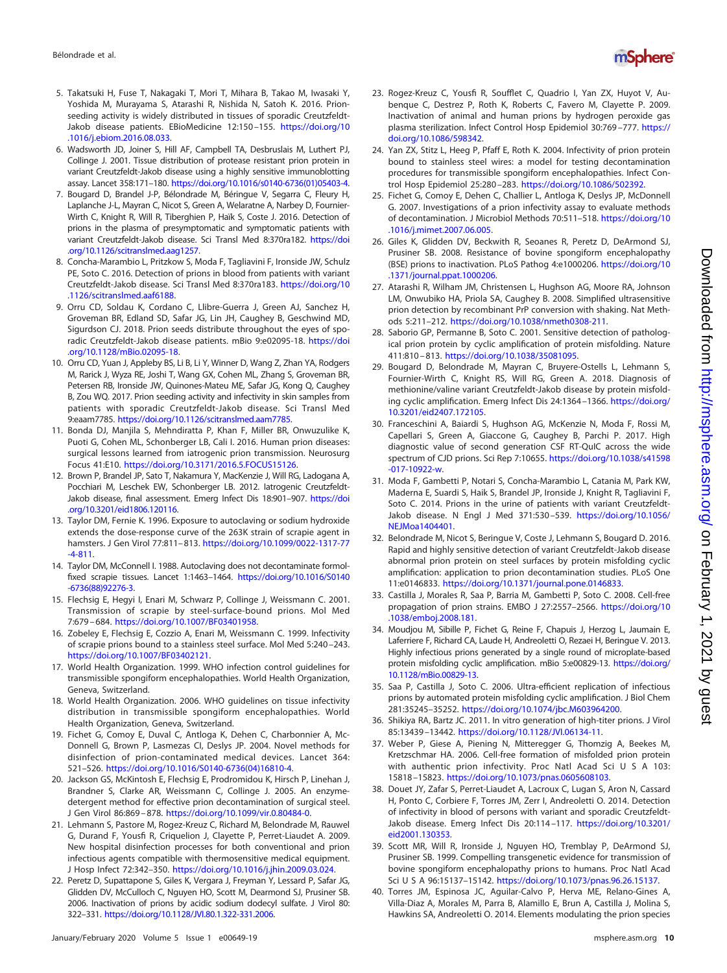

- <span id="page-9-0"></span>5. Takatsuki H, Fuse T, Nakagaki T, Mori T, Mihara B, Takao M, Iwasaki Y, Yoshida M, Murayama S, Atarashi R, Nishida N, Satoh K. 2016. Prionseeding activity is widely distributed in tissues of sporadic Creutzfeldt-Jakob disease patients. EBioMedicine 12:150 –155. [https://doi.org/10](https://doi.org/10.1016/j.ebiom.2016.08.033) [.1016/j.ebiom.2016.08.033.](https://doi.org/10.1016/j.ebiom.2016.08.033)
- <span id="page-9-1"></span>6. Wadsworth JD, Joiner S, Hill AF, Campbell TA, Desbruslais M, Luthert PJ, Collinge J. 2001. Tissue distribution of protease resistant prion protein in variant Creutzfeldt-Jakob disease using a highly sensitive immunoblotting assay. Lancet 358:171–180. [https://doi.org/10.1016/s0140-6736\(01\)05403-4.](https://doi.org/10.1016/s0140-6736(01)05403-4)
- <span id="page-9-2"></span>7. Bougard D, Brandel J-P, Bélondrade M, Béringue V, Segarra C, Fleury H, Laplanche J-L, Mayran C, Nicot S, Green A, Welaratne A, Narbey D, Fournier-Wirth C, Knight R, Will R, Tiberghien P, Haïk S, Coste J. 2016. Detection of prions in the plasma of presymptomatic and symptomatic patients with variant Creutzfeldt-Jakob disease. Sci Transl Med 8:370ra182. [https://doi](https://doi.org/10.1126/scitranslmed.aag1257) [.org/10.1126/scitranslmed.aag1257.](https://doi.org/10.1126/scitranslmed.aag1257)
- 8. Concha-Marambio L, Pritzkow S, Moda F, Tagliavini F, Ironside JW, Schulz PE, Soto C. 2016. Detection of prions in blood from patients with variant Creutzfeldt-Jakob disease. Sci Transl Med 8:370ra183. [https://doi.org/10](https://doi.org/10.1126/scitranslmed.aaf6188) [.1126/scitranslmed.aaf6188.](https://doi.org/10.1126/scitranslmed.aaf6188)
- <span id="page-9-3"></span>9. Orru CD, Soldau K, Cordano C, Llibre-Guerra J, Green AJ, Sanchez H, Groveman BR, Edland SD, Safar JG, Lin JH, Caughey B, Geschwind MD, Sigurdson CJ. 2018. Prion seeds distribute throughout the eyes of sporadic Creutzfeldt-Jakob disease patients. mBio 9:e02095-18. [https://doi](https://doi.org/10.1128/mBio.02095-18) [.org/10.1128/mBio.02095-18.](https://doi.org/10.1128/mBio.02095-18)
- <span id="page-9-4"></span>10. Orru CD, Yuan J, Appleby BS, Li B, Li Y, Winner D, Wang Z, Zhan YA, Rodgers M, Rarick J, Wyza RE, Joshi T, Wang GX, Cohen ML, Zhang S, Groveman BR, Petersen RB, Ironside JW, Quinones-Mateu ME, Safar JG, Kong Q, Caughey B, Zou WQ. 2017. Prion seeding activity and infectivity in skin samples from patients with sporadic Creutzfeldt-Jakob disease. Sci Transl Med 9:eaam7785. [https://doi.org/10.1126/scitranslmed.aam7785.](https://doi.org/10.1126/scitranslmed.aam7785)
- <span id="page-9-5"></span>11. Bonda DJ, Manjila S, Mehndiratta P, Khan F, Miller BR, Onwuzulike K, Puoti G, Cohen ML, Schonberger LB, Cali I. 2016. Human prion diseases: surgical lessons learned from iatrogenic prion transmission. Neurosurg Focus 41:E10. [https://doi.org/10.3171/2016.5.FOCUS15126.](https://doi.org/10.3171/2016.5.FOCUS15126)
- <span id="page-9-6"></span>12. Brown P, Brandel JP, Sato T, Nakamura Y, MacKenzie J, Will RG, Ladogana A, Pocchiari M, Leschek EW, Schonberger LB. 2012. Iatrogenic Creutzfeldt-Jakob disease, final assessment. Emerg Infect Dis 18:901–907. [https://doi](https://doi.org/10.3201/eid1806.120116) [.org/10.3201/eid1806.120116.](https://doi.org/10.3201/eid1806.120116)
- <span id="page-9-7"></span>13. Taylor DM, Fernie K. 1996. Exposure to autoclaving or sodium hydroxide extends the dose-response curve of the 263K strain of scrapie agent in hamsters. J Gen Virol 77:811– 813. [https://doi.org/10.1099/0022-1317-77](https://doi.org/10.1099/0022-1317-77-4-811) [-4-811.](https://doi.org/10.1099/0022-1317-77-4-811)
- <span id="page-9-9"></span><span id="page-9-8"></span>14. Taylor DM, McConnell I. 1988. Autoclaving does not decontaminate formolfixed scrapie tissues. Lancet 1:1463–1464. [https://doi.org/10.1016/S0140](https://doi.org/10.1016/S0140-6736(88)92276-3) [-6736\(88\)92276-3.](https://doi.org/10.1016/S0140-6736(88)92276-3)
- 15. Flechsig E, Hegyi I, Enari M, Schwarz P, Collinge J, Weissmann C. 2001. Transmission of scrapie by steel-surface-bound prions. Mol Med 7:679 – 684. [https://doi.org/10.1007/BF03401958.](https://doi.org/10.1007/BF03401958)
- <span id="page-9-10"></span>16. Zobeley E, Flechsig E, Cozzio A, Enari M, Weissmann C. 1999. Infectivity of scrapie prions bound to a stainless steel surface. Mol Med 5:240 –243. [https://doi.org/10.1007/BF03402121.](https://doi.org/10.1007/BF03402121)
- <span id="page-9-12"></span><span id="page-9-11"></span>17. World Health Organization. 1999. WHO infection control guidelines for transmissible spongiform encephalopathies. World Health Organization, Geneva, Switzerland.
- <span id="page-9-13"></span>18. World Health Organization. 2006. WHO guidelines on tissue infectivity distribution in transmissible spongiform encephalopathies. World Health Organization, Geneva, Switzerland.
- 19. Fichet G, Comoy E, Duval C, Antloga K, Dehen C, Charbonnier A, Mc-Donnell G, Brown P, Lasmezas CI, Deslys JP. 2004. Novel methods for disinfection of prion-contaminated medical devices. Lancet 364: 521–526. [https://doi.org/10.1016/S0140-6736\(04\)16810-4.](https://doi.org/10.1016/S0140-6736(04)16810-4)
- 20. Jackson GS, McKintosh E, Flechsig E, Prodromidou K, Hirsch P, Linehan J, Brandner S, Clarke AR, Weissmann C, Collinge J. 2005. An enzymedetergent method for effective prion decontamination of surgical steel. J Gen Virol 86:869 – 878. [https://doi.org/10.1099/vir.0.80484-0.](https://doi.org/10.1099/vir.0.80484-0)
- 21. Lehmann S, Pastore M, Rogez-Kreuz C, Richard M, Belondrade M, Rauwel G, Durand F, Yousfi R, Criquelion J, Clayette P, Perret-Liaudet A. 2009. New hospital disinfection processes for both conventional and prion infectious agents compatible with thermosensitive medical equipment. J Hosp Infect 72:342–350. [https://doi.org/10.1016/j.jhin.2009.03.024.](https://doi.org/10.1016/j.jhin.2009.03.024)
- <span id="page-9-17"></span>22. Peretz D, Supattapone S, Giles K, Vergara J, Freyman Y, Lessard P, Safar JG, Glidden DV, McCulloch C, Nguyen HO, Scott M, Dearmond SJ, Prusiner SB. 2006. Inactivation of prions by acidic sodium dodecyl sulfate. J Virol 80: 322–331. [https://doi.org/10.1128/JVI.80.1.322-331.2006.](https://doi.org/10.1128/JVI.80.1.322-331.2006)
- <span id="page-9-14"></span>23. Rogez-Kreuz C, Yousfi R, Soufflet C, Quadrio I, Yan ZX, Huyot V, Aubenque C, Destrez P, Roth K, Roberts C, Favero M, Clayette P. 2009. Inactivation of animal and human prions by hydrogen peroxide gas plasma sterilization. Infect Control Hosp Epidemiol 30:769 –777. [https://](https://doi.org/10.1086/598342) [doi.org/10.1086/598342.](https://doi.org/10.1086/598342)
- <span id="page-9-15"></span>24. Yan ZX, Stitz L, Heeg P, Pfaff E, Roth K. 2004. Infectivity of prion protein bound to stainless steel wires: a model for testing decontamination procedures for transmissible spongiform encephalopathies. Infect Control Hosp Epidemiol 25:280 –283. [https://doi.org/10.1086/502392.](https://doi.org/10.1086/502392)
- <span id="page-9-16"></span>25. Fichet G, Comoy E, Dehen C, Challier L, Antloga K, Deslys JP, McDonnell G. 2007. Investigations of a prion infectivity assay to evaluate methods of decontamination. J Microbiol Methods 70:511–518. [https://doi.org/10](https://doi.org/10.1016/j.mimet.2007.06.005) [.1016/j.mimet.2007.06.005.](https://doi.org/10.1016/j.mimet.2007.06.005)
- <span id="page-9-18"></span>26. Giles K, Glidden DV, Beckwith R, Seoanes R, Peretz D, DeArmond SJ, Prusiner SB. 2008. Resistance of bovine spongiform encephalopathy (BSE) prions to inactivation. PLoS Pathog 4:e1000206. [https://doi.org/10](https://doi.org/10.1371/journal.ppat.1000206) [.1371/journal.ppat.1000206.](https://doi.org/10.1371/journal.ppat.1000206)
- <span id="page-9-19"></span>27. Atarashi R, Wilham JM, Christensen L, Hughson AG, Moore RA, Johnson LM, Onwubiko HA, Priola SA, Caughey B. 2008. Simplified ultrasensitive prion detection by recombinant PrP conversion with shaking. Nat Methods 5:211–212. [https://doi.org/10.1038/nmeth0308-211.](https://doi.org/10.1038/nmeth0308-211)
- <span id="page-9-20"></span>28. Saborio GP, Permanne B, Soto C. 2001. Sensitive detection of pathological prion protein by cyclic amplification of protein misfolding. Nature 411:810 – 813. [https://doi.org/10.1038/35081095.](https://doi.org/10.1038/35081095)
- <span id="page-9-21"></span>29. Bougard D, Belondrade M, Mayran C, Bruyere-Ostells L, Lehmann S, Fournier-Wirth C, Knight RS, Will RG, Green A. 2018. Diagnosis of methionine/valine variant Creutzfeldt-Jakob disease by protein misfolding cyclic amplification. Emerg Infect Dis 24:1364 –1366. [https://doi.org/](https://doi.org/10.3201/eid2407.172105) [10.3201/eid2407.172105.](https://doi.org/10.3201/eid2407.172105)
- <span id="page-9-22"></span>30. Franceschini A, Baiardi S, Hughson AG, McKenzie N, Moda F, Rossi M, Capellari S, Green A, Giaccone G, Caughey B, Parchi P. 2017. High diagnostic value of second generation CSF RT-QuIC across the wide spectrum of CJD prions. Sci Rep 7:10655. [https://doi.org/10.1038/s41598](https://doi.org/10.1038/s41598-017-10922-w) [-017-10922-w.](https://doi.org/10.1038/s41598-017-10922-w)
- <span id="page-9-23"></span>31. Moda F, Gambetti P, Notari S, Concha-Marambio L, Catania M, Park KW, Maderna E, Suardi S, Haik S, Brandel JP, Ironside J, Knight R, Tagliavini F, Soto C. 2014. Prions in the urine of patients with variant Creutzfeldt-Jakob disease. N Engl J Med 371:530 –539. [https://doi.org/10.1056/](https://doi.org/10.1056/NEJMoa1404401) [NEJMoa1404401.](https://doi.org/10.1056/NEJMoa1404401)
- <span id="page-9-24"></span>32. Belondrade M, Nicot S, Beringue V, Coste J, Lehmann S, Bougard D. 2016. Rapid and highly sensitive detection of variant Creutzfeldt-Jakob disease abnormal prion protein on steel surfaces by protein misfolding cyclic amplification: application to prion decontamination studies. PLoS One 11:e0146833. [https://doi.org/10.1371/journal.pone.0146833.](https://doi.org/10.1371/journal.pone.0146833)
- <span id="page-9-25"></span>33. Castilla J, Morales R, Saa P, Barria M, Gambetti P, Soto C. 2008. Cell-free propagation of prion strains. EMBO J 27:2557–2566. [https://doi.org/10](https://doi.org/10.1038/emboj.2008.181) [.1038/emboj.2008.181.](https://doi.org/10.1038/emboj.2008.181)
- <span id="page-9-31"></span>34. Moudjou M, Sibille P, Fichet G, Reine F, Chapuis J, Herzog L, Jaumain E, Laferriere F, Richard CA, Laude H, Andreoletti O, Rezaei H, Beringue V. 2013. Highly infectious prions generated by a single round of microplate-based protein misfolding cyclic amplification. mBio 5:e00829-13. [https://doi.org/](https://doi.org/10.1128/mBio.00829-13) [10.1128/mBio.00829-13.](https://doi.org/10.1128/mBio.00829-13)
- <span id="page-9-32"></span><span id="page-9-26"></span>35. Saa P, Castilla J, Soto C. 2006. Ultra-efficient replication of infectious prions by automated protein misfolding cyclic amplification. J Biol Chem 281:35245–35252. [https://doi.org/10.1074/jbc.M603964200.](https://doi.org/10.1074/jbc.M603964200)
- <span id="page-9-27"></span>36. Shikiya RA, Bartz JC. 2011. In vitro generation of high-titer prions. J Virol 85:13439 –13442. [https://doi.org/10.1128/JVI.06134-11.](https://doi.org/10.1128/JVI.06134-11)
- 37. Weber P, Giese A, Piening N, Mitteregger G, Thomzig A, Beekes M, Kretzschmar HA. 2006. Cell-free formation of misfolded prion protein with authentic prion infectivity. Proc Natl Acad Sci U S A 103: 15818 –15823. [https://doi.org/10.1073/pnas.0605608103.](https://doi.org/10.1073/pnas.0605608103)
- <span id="page-9-28"></span>38. Douet JY, Zafar S, Perret-Liaudet A, Lacroux C, Lugan S, Aron N, Cassard H, Ponto C, Corbiere F, Torres JM, Zerr I, Andreoletti O. 2014. Detection of infectivity in blood of persons with variant and sporadic Creutzfeldt-Jakob disease. Emerg Infect Dis 20:114 –117. [https://doi.org/10.3201/](https://doi.org/10.3201/eid2001.130353) [eid2001.130353.](https://doi.org/10.3201/eid2001.130353)
- <span id="page-9-29"></span>39. Scott MR, Will R, Ironside J, Nguyen HO, Tremblay P, DeArmond SJ, Prusiner SB. 1999. Compelling transgenetic evidence for transmission of bovine spongiform encephalopathy prions to humans. Proc Natl Acad Sci U S A 96:15137–15142. [https://doi.org/10.1073/pnas.96.26.15137.](https://doi.org/10.1073/pnas.96.26.15137)
- <span id="page-9-30"></span>40. Torres JM, Espinosa JC, Aguilar-Calvo P, Herva ME, Relano-Gines A, Villa-Diaz A, Morales M, Parra B, Alamillo E, Brun A, Castilla J, Molina S, Hawkins SA, Andreoletti O. 2014. Elements modulating the prion species